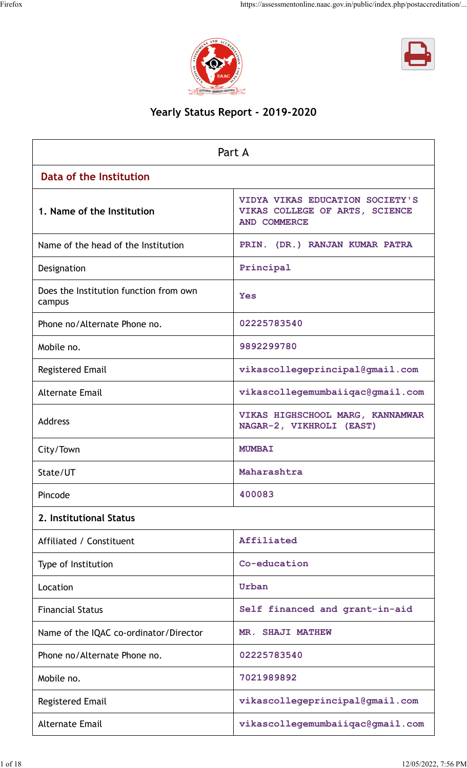



## **Yearly Status Report - 2019-2020**

|                                                  | Part A                                                                                   |
|--------------------------------------------------|------------------------------------------------------------------------------------------|
| Data of the Institution                          |                                                                                          |
| 1. Name of the Institution                       | VIDYA VIKAS EDUCATION SOCIETY'S<br>VIKAS COLLEGE OF ARTS, SCIENCE<br><b>AND COMMERCE</b> |
| Name of the head of the Institution              | PRIN. (DR.) RANJAN KUMAR PATRA                                                           |
| Designation                                      | Principal                                                                                |
| Does the Institution function from own<br>campus | Yes                                                                                      |
| Phone no/Alternate Phone no.                     | 02225783540                                                                              |
| Mobile no.                                       | 9892299780                                                                               |
| <b>Registered Email</b>                          | vikascollegeprincipal@gmail.com                                                          |
| <b>Alternate Email</b>                           | vikascollegemumbaiiqac@gmail.com                                                         |
| <b>Address</b>                                   | VIKAS HIGHSCHOOL MARG, KANNAMWAR<br>NAGAR-2, VIKHROLI (EAST)                             |
| City/Town                                        | <b>MUMBAI</b>                                                                            |
| State/UT                                         | Maharashtra                                                                              |
| Pincode                                          | 400083                                                                                   |
| 2. Institutional Status                          |                                                                                          |
| Affiliated / Constituent                         | Affiliated                                                                               |
| Type of Institution                              | Co-education                                                                             |
| Location                                         | Urban                                                                                    |
| <b>Financial Status</b>                          | Self financed and grant-in-aid                                                           |
| Name of the IQAC co-ordinator/Director           | MR. SHAJI MATHEW                                                                         |
| Phone no/Alternate Phone no.                     | 02225783540                                                                              |
| Mobile no.                                       | 7021989892                                                                               |
| <b>Registered Email</b>                          | vikascollegeprincipal@gmail.com                                                          |
| <b>Alternate Email</b>                           | vikascollegemumbaiiqac@gmail.com                                                         |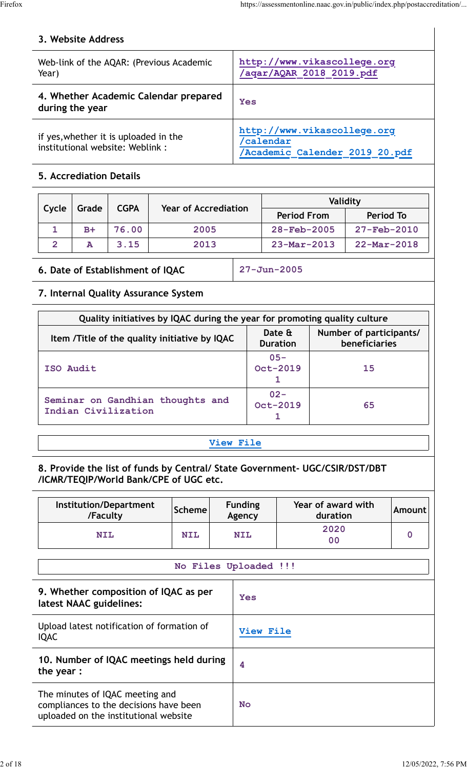## **3. Website Address**

| Web-link of the AQAR: (Previous Academic<br>Year)                        | http://www.vikascollege.org<br>/aqar/AQAR 2018 2019.pdf                   |
|--------------------------------------------------------------------------|---------------------------------------------------------------------------|
| 4. Whether Academic Calendar prepared<br>during the year                 | Yes                                                                       |
| if yes, whether it is uploaded in the<br>institutional website: Weblink: | http://www.vikascollege.org<br>'calendar<br>Academic Calender 2019 20.pdf |

## **5. Accrediation Details**

|       |       | <b>CGPA</b> | <b>Year of Accrediation</b> |                          | Validity                 |
|-------|-------|-------------|-----------------------------|--------------------------|--------------------------|
| Cycle | Grade |             |                             | <b>Period From</b>       | Period To                |
|       | $B+$  | 76.00       | 2005                        | $28 - \text{Feb} - 2005$ | $27 - \text{Feb} - 2010$ |
|       | А     | 3.15        | 2013                        | $23 - Mar - 2013$        | $22 - \text{Mar} - 2018$ |

## **6. Date of Establishment of IQAC 27-Jun-2005**

## **7. Internal Quality Assurance System**

| Quality initiatives by IQAC during the year for promoting quality culture |                           |                                          |
|---------------------------------------------------------------------------|---------------------------|------------------------------------------|
| Item /Title of the quality initiative by IQAC                             | Date &<br><b>Duration</b> | Number of participants/<br>beneficiaries |
| ISO Audit                                                                 | $05 -$<br>Oct-2019        | 15                                       |
| Seminar on Gandhian thoughts and<br>Indian Civilization                   | $02 -$<br>Oct-2019        | 65                                       |

## **[View File](https://assessmentonline.naac.gov.in/public/Postacc/Quality_Initiatives/21029_Quality_Initiatives.pdf)**

### **8. Provide the list of funds by Central/ State Government- UGC/CSIR/DST/DBT /ICMR/TEQIP/World Bank/CPE of UGC etc.**

| Institution/Department<br>/Faculty                                                                                 | <b>Scheme</b> | <b>Funding</b><br>Agency | Year of award with<br>duration | <b>Amount</b> |
|--------------------------------------------------------------------------------------------------------------------|---------------|--------------------------|--------------------------------|---------------|
| <b>NIL</b>                                                                                                         | <b>NIL</b>    | <b>NIL</b>               | 2020<br>0 <sub>0</sub>         | $\mathbf 0$   |
|                                                                                                                    |               | No Files Uploaded !!!    |                                |               |
| 9. Whether composition of IQAC as per<br>latest NAAC guidelines:                                                   |               | <b>Yes</b>               |                                |               |
| Upload latest notification of formation of<br><b>IQAC</b>                                                          |               | <b>View File</b>         |                                |               |
| 10. Number of IQAC meetings held during<br>the year:                                                               |               | 4                        |                                |               |
| The minutes of IQAC meeting and<br>compliances to the decisions have been<br>uploaded on the institutional website |               | <b>No</b>                |                                |               |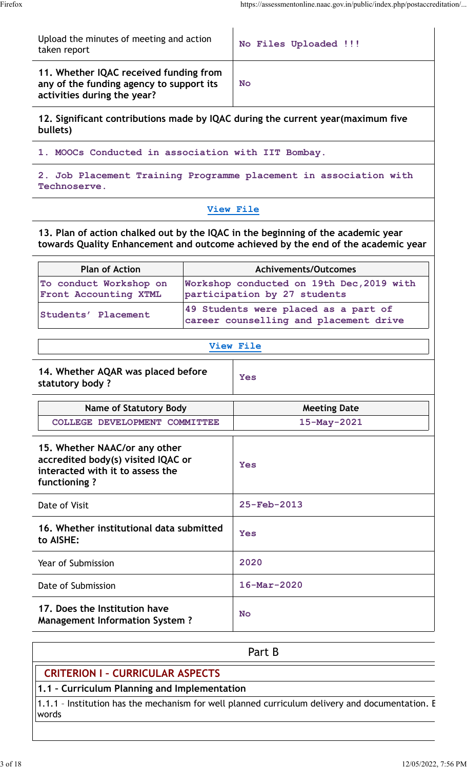Upload the minutes of meeting and action Upload the initiates of meeting and action<br>taken report

**11. Whether IQAC received funding from any of the funding agency to support its activities during the year?**

**No**

**12. Significant contributions made by IQAC during the current year(maximum five bullets)**

**1. MOOCs Conducted in association with IIT Bombay.**

**2. Job Placement Training Programme placement in association with Technoserve.**

### **[View File](https://assessmentonline.naac.gov.in/public/Postacc/Contribution/21029_Contribution.xlsx)**

**13. Plan of action chalked out by the IQAC in the beginning of the academic year towards Quality Enhancement and outcome achieved by the end of the academic year**

| <b>Plan of Action</b>                           | <b>Achivements/Outcomes</b>                                                    |
|-------------------------------------------------|--------------------------------------------------------------------------------|
| To conduct Workshop on<br>Front Accounting XTML | Workshop conducted on 19th Dec, 2019 with<br>participation by 27 students      |
| Students' Placement                             | 49 Students were placed as a part of<br>career counselling and placement drive |

#### **[View File](https://assessmentonline.naac.gov.in/public/Postacc/Quality/21029_Quality.xlsx)**

| 14. Whether AQAR was placed before<br>statutory body?                                                                   | <b>Yes</b>               |
|-------------------------------------------------------------------------------------------------------------------------|--------------------------|
| <b>Name of Statutory Body</b>                                                                                           | <b>Meeting Date</b>      |
| COLLEGE DEVELOPMENT COMMITTEE                                                                                           | 15-May-2021              |
| 15. Whether NAAC/or any other<br>accredited body(s) visited IQAC or<br>interacted with it to assess the<br>functioning? | <b>Yes</b>               |
| Date of Visit                                                                                                           | $25 - Feb - 2013$        |
| 16. Whether institutional data submitted<br>to AISHE:                                                                   | <b>Yes</b>               |
| Year of Submission                                                                                                      | 2020                     |
| Date of Submission                                                                                                      | $16 - \text{Mar} - 2020$ |
| 17. Does the Institution have                                                                                           | $N -$                    |

# **Management Information System ? No**

Part B

## **CRITERION I – CURRICULAR ASPECTS**

**1.1 – Curriculum Planning and Implementation**

1.1.1 - Institution has the mechanism for well planned curriculum delivery and documentation. E words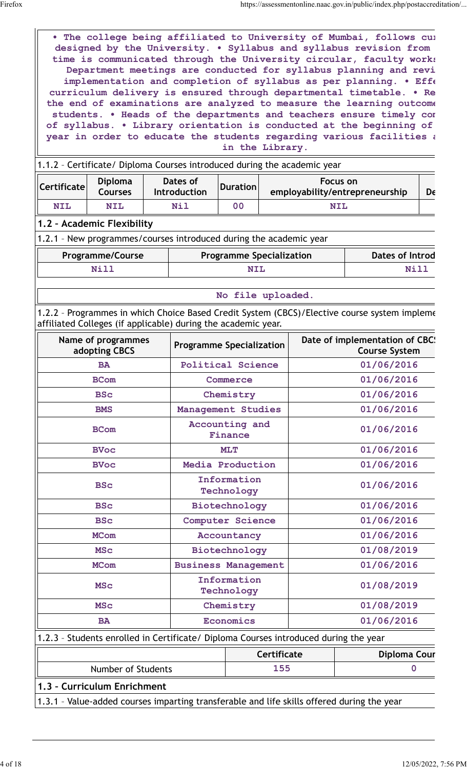• The college being affiliated to University of Mumbai, follows cu**rt** designed by the University. . Syllabus and syllabus revision from time is communicated through the University circular, faculty works Department meetings are conducted for syllabus planning and revi implementation and completion of syllabus as per planning. . Effe curriculum delivery is ensured through departmental timetable. . Re the end of examinations are analyzed to measure the learning outcome students. • Heads of the departments and teachers ensure timely com of syllabus. . Library orientation is conducted at the beginning of year in order to educate the students regarding various facilities a **in the Library.**

|                       |                           |                          |          | 1.1.2 - Certificate/ Diploma Courses introduced during the academic year |    |
|-----------------------|---------------------------|--------------------------|----------|--------------------------------------------------------------------------|----|
|                       |                           |                          |          |                                                                          |    |
| $  $ Certificate $  $ | <b>Diploma</b><br>Courses | Dates of<br>Introduction | Duration | Focus on<br>employability/entrepreneurship                               | De |
| <b>NIL</b>            | <b>NIL</b>                | <b>Nil</b>               | 00       | <b>NIL</b>                                                               |    |

#### **1.2 – Academic Flexibility**

1.2.1 – New programmes/courses introduced during the academic year

| <b>Programme/Course</b> | <b>Programme Specialization</b> | Dates of Introd |
|-------------------------|---------------------------------|-----------------|
|                         |                                 |                 |

**No file uploaded.**

1.2.2 - Programmes in which Choice Based Credit System (CBCS)/Elective course system impleme affiliated Colleges (if applicable) during the academic year.

| Name of programmes<br>adopting CBCS                                                        | <b>Programme Specialization</b> |            | Date of implementation of CBC:<br><b>Course System</b> |  |
|--------------------------------------------------------------------------------------------|---------------------------------|------------|--------------------------------------------------------|--|
| <b>BA</b>                                                                                  | <b>Political Science</b>        |            | 01/06/2016                                             |  |
| <b>BCom</b>                                                                                | Commerce                        |            | 01/06/2016                                             |  |
| <b>BSc</b>                                                                                 | Chemistry                       | 01/06/2016 |                                                        |  |
| <b>BMS</b>                                                                                 | Management Studies              |            | 01/06/2016                                             |  |
| <b>BCom</b>                                                                                | Accounting and<br>Finance       |            | 01/06/2016                                             |  |
| <b>BVoc</b>                                                                                | <b>MLT</b>                      |            | 01/06/2016                                             |  |
| <b>BVoc</b>                                                                                | Media Production                |            | 01/06/2016                                             |  |
| <b>BSc</b>                                                                                 | Information<br>Technology       | 01/06/2016 |                                                        |  |
| <b>BSc</b>                                                                                 | Biotechnology                   | 01/06/2016 |                                                        |  |
| <b>BSc</b>                                                                                 | Computer Science                | 01/06/2016 |                                                        |  |
| <b>MCom</b>                                                                                | Accountancy                     | 01/06/2016 |                                                        |  |
| <b>MSC</b>                                                                                 | Biotechnology                   | 01/08/2019 |                                                        |  |
| <b>MCom</b>                                                                                | <b>Business Management</b>      | 01/06/2016 |                                                        |  |
| <b>MSC</b>                                                                                 | Information<br>Technology       | 01/08/2019 |                                                        |  |
| <b>MSC</b>                                                                                 | Chemistry                       |            | 01/08/2019                                             |  |
| <b>BA</b>                                                                                  | Economics                       |            | 01/06/2016                                             |  |
| 1.2.3 - Students enrolled in Certificate/ Diploma Courses introduced during the year       |                                 |            |                                                        |  |
|                                                                                            | <b>Certificate</b>              |            | <b>Diploma Cour</b>                                    |  |
| Number of Students                                                                         | 155                             | 0          |                                                        |  |
| 1.3 - Curriculum Enrichment                                                                |                                 |            |                                                        |  |
| 1.3.1 - Value-added courses imparting transferable and life skills offered during the year |                                 |            |                                                        |  |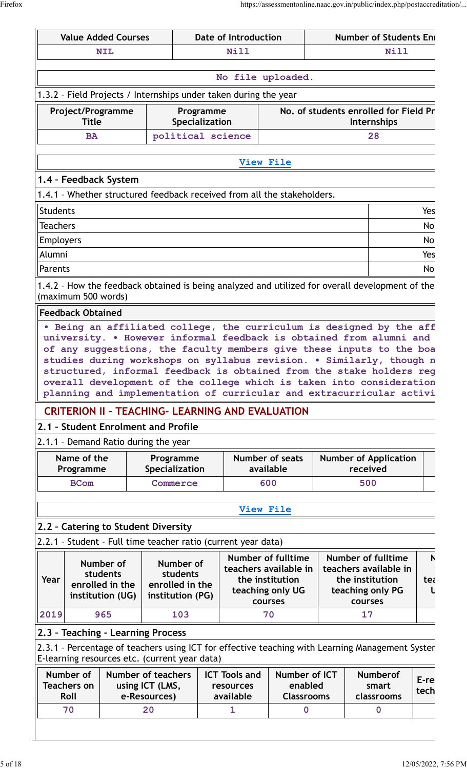|                  |                                   | <b>Value Added Courses</b>           |                            |                                               | Date of Introduction                                             |                                                                         |  | <b>Number of Students Eni</b>                                                                                                                |              |
|------------------|-----------------------------------|--------------------------------------|----------------------------|-----------------------------------------------|------------------------------------------------------------------|-------------------------------------------------------------------------|--|----------------------------------------------------------------------------------------------------------------------------------------------|--------------|
|                  |                                   | <b>NIL</b>                           | <b>Nill</b><br><b>Nill</b> |                                               |                                                                  |                                                                         |  |                                                                                                                                              |              |
|                  |                                   |                                      |                            |                                               |                                                                  | No file uploaded.                                                       |  |                                                                                                                                              |              |
|                  |                                   |                                      |                            |                                               | 1.3.2 - Field Projects / Internships under taken during the year |                                                                         |  |                                                                                                                                              |              |
|                  | Project/Programme<br><b>Title</b> |                                      |                            | Programme<br>Specialization                   |                                                                  |                                                                         |  | No. of students enrolled for Field Pr<br>Internships                                                                                         |              |
|                  | <b>BA</b>                         |                                      |                            | political science                             |                                                                  |                                                                         |  | 28                                                                                                                                           |              |
|                  |                                   |                                      |                            |                                               | View File                                                        |                                                                         |  |                                                                                                                                              |              |
|                  |                                   |                                      |                            |                                               |                                                                  |                                                                         |  |                                                                                                                                              |              |
|                  |                                   | 1.4 - Feedback System                |                            |                                               |                                                                  | 1.4.1 - Whether structured feedback received from all the stakeholders. |  |                                                                                                                                              |              |
| <b>Students</b>  |                                   |                                      |                            |                                               |                                                                  |                                                                         |  |                                                                                                                                              | Yes          |
| Teachers         |                                   |                                      |                            |                                               |                                                                  |                                                                         |  |                                                                                                                                              | No           |
| <b>Employers</b> |                                   |                                      |                            |                                               |                                                                  |                                                                         |  |                                                                                                                                              | No           |
| Alumni           |                                   |                                      |                            |                                               |                                                                  |                                                                         |  |                                                                                                                                              | Yes          |
| Parents          |                                   |                                      |                            |                                               |                                                                  |                                                                         |  |                                                                                                                                              | No           |
|                  |                                   |                                      |                            |                                               |                                                                  |                                                                         |  | 1.4.2 - How the feedback obtained is being analyzed and utilized for overall development of the                                              |              |
|                  | (maximum 500 words)               |                                      |                            |                                               |                                                                  |                                                                         |  |                                                                                                                                              |              |
|                  | <b>Feedback Obtained</b>          |                                      |                            |                                               |                                                                  |                                                                         |  |                                                                                                                                              |              |
|                  |                                   |                                      |                            |                                               |                                                                  |                                                                         |  | . Being an affiliated college, the curriculum is designed by the aff                                                                         |              |
|                  |                                   |                                      |                            |                                               |                                                                  |                                                                         |  | university. . However informal feedback is obtained from alumni and                                                                          |              |
|                  |                                   |                                      |                            |                                               |                                                                  |                                                                         |  |                                                                                                                                              |              |
|                  |                                   |                                      |                            |                                               |                                                                  |                                                                         |  | of any suggestions, the faculty members give these inputs to the boa                                                                         |              |
|                  |                                   |                                      |                            |                                               |                                                                  |                                                                         |  | studies during workshops on syllabus revision. . Similarly, though n<br>structured, informal feedback is obtained from the stake holders reg |              |
|                  |                                   |                                      |                            |                                               |                                                                  |                                                                         |  | overall development of the college which is taken into consideration                                                                         |              |
|                  |                                   |                                      |                            |                                               |                                                                  |                                                                         |  | planning and implementation of curricular and extracurricular activi                                                                         |              |
|                  |                                   |                                      |                            |                                               | <b>CRITERION II - TEACHING- LEARNING AND EVALUATION</b>          |                                                                         |  |                                                                                                                                              |              |
|                  |                                   | 2.1 - Student Enrolment and Profile  |                            |                                               |                                                                  |                                                                         |  |                                                                                                                                              |              |
|                  |                                   | 2.1.1 - Demand Ratio during the year |                            |                                               |                                                                  |                                                                         |  |                                                                                                                                              |              |
|                  | Name of the                       |                                      | Programme                  |                                               |                                                                  | Number of seats                                                         |  | <b>Number of Application</b>                                                                                                                 |              |
|                  | Programme<br><b>BCom</b>          |                                      | Specialization<br>Commerce |                                               |                                                                  | available<br>600                                                        |  | received<br>500                                                                                                                              |              |
|                  |                                   |                                      |                            |                                               |                                                                  |                                                                         |  |                                                                                                                                              |              |
|                  |                                   |                                      |                            |                                               | View File                                                        |                                                                         |  |                                                                                                                                              |              |
|                  |                                   | 2.2 - Catering to Student Diversity  |                            |                                               |                                                                  |                                                                         |  |                                                                                                                                              |              |
|                  |                                   |                                      |                            |                                               | 2.2.1 - Student - Full time teacher ratio (current year data)    |                                                                         |  |                                                                                                                                              |              |
|                  |                                   |                                      |                            |                                               |                                                                  | <b>Number of fulltime</b>                                               |  | <b>Number of fulltime</b>                                                                                                                    | $\mathsf{N}$ |
|                  |                                   | Number of<br>students                |                            | Number of<br>students                         |                                                                  | teachers available in                                                   |  | teachers available in                                                                                                                        |              |
| Year             |                                   | enrolled in the                      |                            | enrolled in the                               |                                                                  | the institution                                                         |  | the institution                                                                                                                              | tea          |
|                  |                                   | institution (UG)                     |                            | institution (PG)                              |                                                                  | teaching only UG<br>courses                                             |  | teaching only PG<br>courses                                                                                                                  |              |
| 2019             |                                   | 965                                  |                            | 103                                           |                                                                  | 70                                                                      |  | 17                                                                                                                                           |              |
|                  |                                   |                                      |                            |                                               |                                                                  |                                                                         |  |                                                                                                                                              |              |
|                  |                                   | 2.3 - Teaching - Learning Process    |                            |                                               |                                                                  |                                                                         |  |                                                                                                                                              |              |
|                  |                                   |                                      |                            | E-learning resources etc. (current year data) |                                                                  |                                                                         |  | 2.3.1 - Percentage of teachers using ICT for effective teaching with Learning Management Systen                                              |              |
|                  | Number of                         | <b>Number of teachers</b>            |                            |                                               | <b>ICT Tools and</b>                                             | Number of ICT                                                           |  | <b>Numberof</b>                                                                                                                              |              |
|                  | <b>Teachers on</b>                |                                      | using ICT (LMS,            |                                               | resources                                                        | enabled                                                                 |  | smart                                                                                                                                        | E-re<br>tech |
|                  | Roll<br>70                        |                                      | e-Resources)<br>20         |                                               | available<br>1                                                   | <b>Classrooms</b><br>$\mathbf{0}$                                       |  | classrooms<br>$\mathbf{0}$                                                                                                                   |              |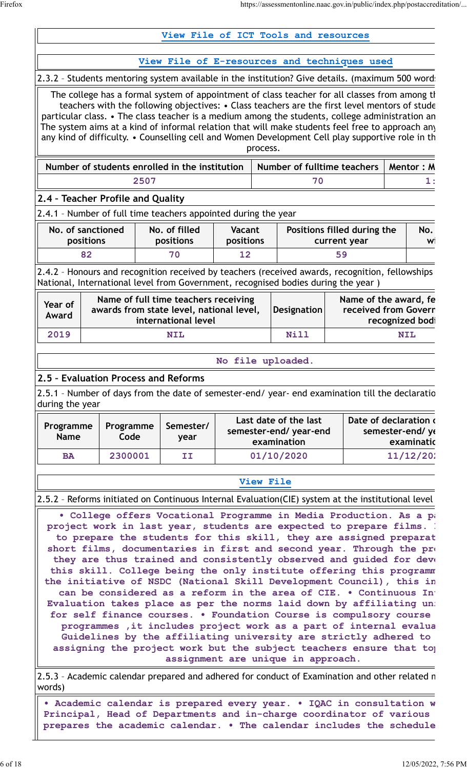|                                                                                    |                   |      | View File of ICT Tools and resources                                                                    |                     |          |                                                                |                                                                                                                                                                                                                                                                                                                                                                                                                                                                                                                                                                                                                                                                                                                                   |                               |
|------------------------------------------------------------------------------------|-------------------|------|---------------------------------------------------------------------------------------------------------|---------------------|----------|----------------------------------------------------------------|-----------------------------------------------------------------------------------------------------------------------------------------------------------------------------------------------------------------------------------------------------------------------------------------------------------------------------------------------------------------------------------------------------------------------------------------------------------------------------------------------------------------------------------------------------------------------------------------------------------------------------------------------------------------------------------------------------------------------------------|-------------------------------|
|                                                                                    |                   |      |                                                                                                         |                     |          |                                                                | View File of E-resources and techniques used                                                                                                                                                                                                                                                                                                                                                                                                                                                                                                                                                                                                                                                                                      |                               |
|                                                                                    |                   |      |                                                                                                         |                     |          |                                                                | 2.3.2 - Students mentoring system available in the institution? Give details. (maximum 500 word:                                                                                                                                                                                                                                                                                                                                                                                                                                                                                                                                                                                                                                  |                               |
|                                                                                    |                   |      |                                                                                                         |                     | process. |                                                                | The college has a formal system of appointment of class teacher for all classes from among the<br>teachers with the following objectives: • Class teachers are the first level mentors of stude<br>particular class. • The class teacher is a medium among the students, college administration an<br>The system aims at a kind of informal relation that will make students feel free to approach any<br>any kind of difficulty. • Counselling cell and Women Development Cell play supportive role in th                                                                                                                                                                                                                        |                               |
|                                                                                    |                   |      | Number of students enrolled in the institution                                                          |                     |          |                                                                | Number of fulltime teachers                                                                                                                                                                                                                                                                                                                                                                                                                                                                                                                                                                                                                                                                                                       | Mentor: M                     |
|                                                                                    |                   | 2507 |                                                                                                         |                     |          | 70                                                             |                                                                                                                                                                                                                                                                                                                                                                                                                                                                                                                                                                                                                                                                                                                                   | 1:                            |
| 2.4 - Teacher Profile and Quality                                                  |                   |      |                                                                                                         |                     |          |                                                                |                                                                                                                                                                                                                                                                                                                                                                                                                                                                                                                                                                                                                                                                                                                                   |                               |
| 2.4.1 - Number of full time teachers appointed during the year                     |                   |      |                                                                                                         |                     |          |                                                                |                                                                                                                                                                                                                                                                                                                                                                                                                                                                                                                                                                                                                                                                                                                                   |                               |
| No. of sanctioned<br>positions                                                     |                   |      | No. of filled<br>positions                                                                              | Vacant<br>positions |          |                                                                | Positions filled during the<br>current year                                                                                                                                                                                                                                                                                                                                                                                                                                                                                                                                                                                                                                                                                       | No.<br>W                      |
| 82                                                                                 |                   |      | 70                                                                                                      | 12                  |          |                                                                | 59                                                                                                                                                                                                                                                                                                                                                                                                                                                                                                                                                                                                                                                                                                                                |                               |
| National, International level from Government, recognised bodies during the year ) |                   |      |                                                                                                         |                     |          |                                                                | 2.4.2 - Honours and recognition received by teachers (received awards, recognition, fellowships                                                                                                                                                                                                                                                                                                                                                                                                                                                                                                                                                                                                                                   |                               |
| Year of<br>Award                                                                   |                   |      | Name of full time teachers receiving<br>awards from state level, national level,<br>international level |                     |          | <b>Designation</b>                                             | Name of the award, fe<br>received from Goverr                                                                                                                                                                                                                                                                                                                                                                                                                                                                                                                                                                                                                                                                                     | recognized bod                |
| 2019                                                                               |                   |      | <b>NIL</b>                                                                                              |                     |          | Nill                                                           |                                                                                                                                                                                                                                                                                                                                                                                                                                                                                                                                                                                                                                                                                                                                   | <b>NIL</b>                    |
|                                                                                    |                   |      |                                                                                                         |                     |          |                                                                |                                                                                                                                                                                                                                                                                                                                                                                                                                                                                                                                                                                                                                                                                                                                   |                               |
| 2.5 - Evaluation Process and Reforms                                               |                   |      |                                                                                                         |                     |          | No file uploaded                                               |                                                                                                                                                                                                                                                                                                                                                                                                                                                                                                                                                                                                                                                                                                                                   |                               |
| during the year                                                                    |                   |      |                                                                                                         |                     |          |                                                                | 2.5.1 - Number of days from the date of semester-end/ year- end examination till the declaratio                                                                                                                                                                                                                                                                                                                                                                                                                                                                                                                                                                                                                                   |                               |
| Programme<br><b>Name</b>                                                           | Programme<br>Code |      | Semester/<br>year                                                                                       |                     |          | Last date of the last<br>semester-end/ year-end<br>examination | Date of declaration                                                                                                                                                                                                                                                                                                                                                                                                                                                                                                                                                                                                                                                                                                               | semester-end/yo<br>examinatio |
| <b>BA</b>                                                                          | 2300001           |      | II                                                                                                      |                     |          | 01/10/2020                                                     |                                                                                                                                                                                                                                                                                                                                                                                                                                                                                                                                                                                                                                                                                                                                   | 11/12/20                      |
|                                                                                    |                   |      |                                                                                                         |                     |          | View File                                                      |                                                                                                                                                                                                                                                                                                                                                                                                                                                                                                                                                                                                                                                                                                                                   |                               |
|                                                                                    |                   |      |                                                                                                         |                     |          |                                                                | 2.5.2 - Reforms initiated on Continuous Internal Evaluation(CIE) system at the institutional level                                                                                                                                                                                                                                                                                                                                                                                                                                                                                                                                                                                                                                |                               |
|                                                                                    |                   |      |                                                                                                         |                     |          |                                                                | . College offers Vocational Programme in Media Production. As a part<br>project work in last year, students are expected to prepare films.<br>to prepare the students for this skill, they are assigned preparat<br>short films, documentaries in first and second year. Through the pro<br>they are thus trained and consistently observed and guided for deve<br>this skill. College being the only institute offering this programm<br>the initiative of NSDC (National Skill Development Council), this in<br>can be considered as a reform in the area of CIE. . Continuous In<br>Evaluation takes place as per the norms laid down by affiliating un:<br>for self finance courses. . Foundation Course is compulsory course |                               |
|                                                                                    |                   |      |                                                                                                         |                     |          |                                                                | programmes , it includes project work as a part of internal evalua<br>Guidelines by the affiliating university are strictly adhered to<br>assigning the project work but the subject teachers ensure that to                                                                                                                                                                                                                                                                                                                                                                                                                                                                                                                      |                               |
|                                                                                    |                   |      |                                                                                                         |                     |          | assignment are unique in approach.                             |                                                                                                                                                                                                                                                                                                                                                                                                                                                                                                                                                                                                                                                                                                                                   |                               |
|                                                                                    |                   |      |                                                                                                         |                     |          |                                                                | 2.5.3 - Academic calendar prepared and adhered for conduct of Examination and other related n                                                                                                                                                                                                                                                                                                                                                                                                                                                                                                                                                                                                                                     |                               |
| words)                                                                             |                   |      |                                                                                                         |                     |          |                                                                |                                                                                                                                                                                                                                                                                                                                                                                                                                                                                                                                                                                                                                                                                                                                   |                               |

• Academic calendar is prepared every year. • IQAC in consultation **w** Principal, Head of Departments and in-charge coordinator of various prepares the academic calendar. • The calendar includes the schedule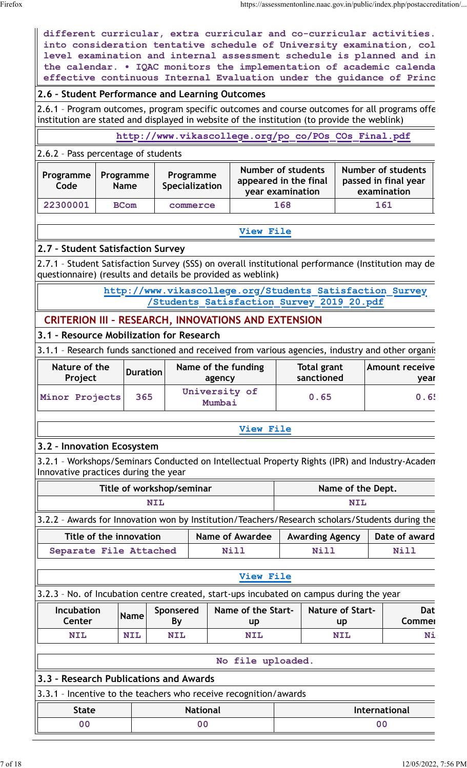$\parallel$ 

|                                                                                                                                                                                              |                          |                 | the calendar. . IQAC monitors the implementation of academic calenda                                                                                               |                 |                                                                                                      |      |                                  |                         |                            | effective continuous Internal Evaluation under the guidance of Princ |
|----------------------------------------------------------------------------------------------------------------------------------------------------------------------------------------------|--------------------------|-----------------|--------------------------------------------------------------------------------------------------------------------------------------------------------------------|-----------------|------------------------------------------------------------------------------------------------------|------|----------------------------------|-------------------------|----------------------------|----------------------------------------------------------------------|
| 2.6 - Student Performance and Learning Outcomes                                                                                                                                              |                          |                 |                                                                                                                                                                    |                 |                                                                                                      |      |                                  |                         |                            |                                                                      |
| 2.6.1 - Program outcomes, program specific outcomes and course outcomes for all programs offe<br>institution are stated and displayed in website of the institution (to provide the weblink) |                          |                 |                                                                                                                                                                    |                 |                                                                                                      |      |                                  |                         |                            |                                                                      |
|                                                                                                                                                                                              |                          |                 |                                                                                                                                                                    |                 | http://www.vikascollege.org/po co/POs COs Final.pdf                                                  |      |                                  |                         |                            |                                                                      |
| 2.6.2 - Pass percentage of students                                                                                                                                                          |                          |                 |                                                                                                                                                                    |                 |                                                                                                      |      |                                  |                         |                            |                                                                      |
| Programme<br>Code                                                                                                                                                                            | Programme<br><b>Name</b> |                 | Number of students<br>Number of students<br>Programme<br>appeared in the final<br>passed in final year<br><b>Specialization</b><br>examination<br>year examination |                 |                                                                                                      |      |                                  |                         |                            |                                                                      |
| 22300001                                                                                                                                                                                     | <b>BCom</b>              |                 | commerce                                                                                                                                                           |                 |                                                                                                      | 168  |                                  |                         | 161                        |                                                                      |
|                                                                                                                                                                                              |                          |                 |                                                                                                                                                                    |                 | View File                                                                                            |      |                                  |                         |                            |                                                                      |
| 2.7 - Student Satisfaction Survey                                                                                                                                                            |                          |                 |                                                                                                                                                                    |                 |                                                                                                      |      |                                  |                         |                            |                                                                      |
| 2.7.1 - Student Satisfaction Survey (SSS) on overall institutional performance (Institution may de<br>questionnaire) (results and details be provided as weblink)                            |                          |                 |                                                                                                                                                                    |                 |                                                                                                      |      |                                  |                         |                            |                                                                      |
|                                                                                                                                                                                              |                          |                 |                                                                                                                                                                    |                 | http://www.vikascollege.org/Students Satisfaction Survey<br>Students Satisfaction Survey 2019 20.pdf |      |                                  |                         |                            |                                                                      |
| <b>CRITERION III - RESEARCH, INNOVATIONS AND EXTENSION</b>                                                                                                                                   |                          |                 |                                                                                                                                                                    |                 |                                                                                                      |      |                                  |                         |                            |                                                                      |
| 3.1 - Resource Mobilization for Research                                                                                                                                                     |                          |                 |                                                                                                                                                                    |                 |                                                                                                      |      |                                  |                         |                            |                                                                      |
| 3.1.1 - Research funds sanctioned and received from various agencies, industry and other organis                                                                                             |                          |                 |                                                                                                                                                                    |                 |                                                                                                      |      |                                  |                         |                            |                                                                      |
| Nature of the<br>Project                                                                                                                                                                     |                          | <b>Duration</b> |                                                                                                                                                                    | agency          | Name of the funding                                                                                  |      | <b>Total grant</b><br>sanctioned |                         |                            | <b>Amount receive</b><br>year                                        |
|                                                                                                                                                                                              |                          |                 | University of<br>Mumbai                                                                                                                                            |                 |                                                                                                      | 0.65 |                                  |                         |                            |                                                                      |
| Minor Projects                                                                                                                                                                               |                          | 365             |                                                                                                                                                                    |                 |                                                                                                      |      |                                  |                         |                            | 0.6!                                                                 |
|                                                                                                                                                                                              |                          |                 |                                                                                                                                                                    |                 | View File                                                                                            |      |                                  |                         |                            |                                                                      |
| 3.2 - Innovation Ecosystem                                                                                                                                                                   |                          |                 |                                                                                                                                                                    |                 |                                                                                                      |      |                                  |                         |                            |                                                                      |
| 3.2.1 - Workshops/Seminars Conducted on Intellectual Property Rights (IPR) and Industry-Acaden<br>Innovative practices during the year                                                       |                          |                 |                                                                                                                                                                    |                 |                                                                                                      |      |                                  |                         |                            |                                                                      |
|                                                                                                                                                                                              |                          |                 | Title of workshop/seminar                                                                                                                                          |                 |                                                                                                      |      |                                  | Name of the Dept.       |                            |                                                                      |
|                                                                                                                                                                                              |                          | <b>NIL</b>      |                                                                                                                                                                    |                 |                                                                                                      |      |                                  | <b>NIL</b>              |                            |                                                                      |
| 3.2.2 - Awards for Innovation won by Institution/Teachers/Research scholars/Students during the                                                                                              |                          |                 |                                                                                                                                                                    |                 |                                                                                                      |      |                                  |                         |                            |                                                                      |
|                                                                                                                                                                                              | Title of the innovation  |                 |                                                                                                                                                                    |                 | <b>Name of Awardee</b>                                                                               |      | <b>Awarding Agency</b>           |                         |                            | Date of award                                                        |
| Separate File Attached                                                                                                                                                                       |                          |                 |                                                                                                                                                                    |                 | <b>Nill</b>                                                                                          |      | Nill                             |                         |                            | <b>Nill</b>                                                          |
|                                                                                                                                                                                              |                          |                 |                                                                                                                                                                    |                 | View File                                                                                            |      |                                  |                         |                            |                                                                      |
|                                                                                                                                                                                              |                          |                 |                                                                                                                                                                    |                 |                                                                                                      |      |                                  |                         |                            |                                                                      |
| 3.2.3 - No. of Incubation centre created, start-ups incubated on campus during the year<br>Incubation<br>Center                                                                              |                          | <b>Name</b>     | Sponsered                                                                                                                                                          |                 | Name of the Start-                                                                                   |      |                                  | <b>Nature of Start-</b> |                            | Dat<br>Commer                                                        |
| <b>NIL</b>                                                                                                                                                                                   |                          | <b>NIL</b>      | <b>By</b><br><b>NIL</b>                                                                                                                                            |                 | up<br><b>NIL</b>                                                                                     |      |                                  | up<br><b>NIL</b>        |                            | Ni                                                                   |
|                                                                                                                                                                                              |                          |                 |                                                                                                                                                                    |                 |                                                                                                      |      |                                  |                         |                            |                                                                      |
|                                                                                                                                                                                              |                          |                 |                                                                                                                                                                    |                 | No file uploaded.                                                                                    |      |                                  |                         |                            |                                                                      |
| 3.3 - Research Publications and Awards                                                                                                                                                       |                          |                 |                                                                                                                                                                    |                 |                                                                                                      |      |                                  |                         |                            |                                                                      |
| 3.3.1 - Incentive to the teachers who receive recognition/awards                                                                                                                             |                          |                 |                                                                                                                                                                    |                 |                                                                                                      |      |                                  |                         |                            |                                                                      |
| <b>State</b><br>0 <sub>0</sub>                                                                                                                                                               |                          |                 | 0 <sub>0</sub>                                                                                                                                                     | <b>National</b> |                                                                                                      |      |                                  |                         | <b>International</b><br>00 |                                                                      |

different curricular, extra curricular and co-curricular activities. **into consideration tentative schedule of University examination, college**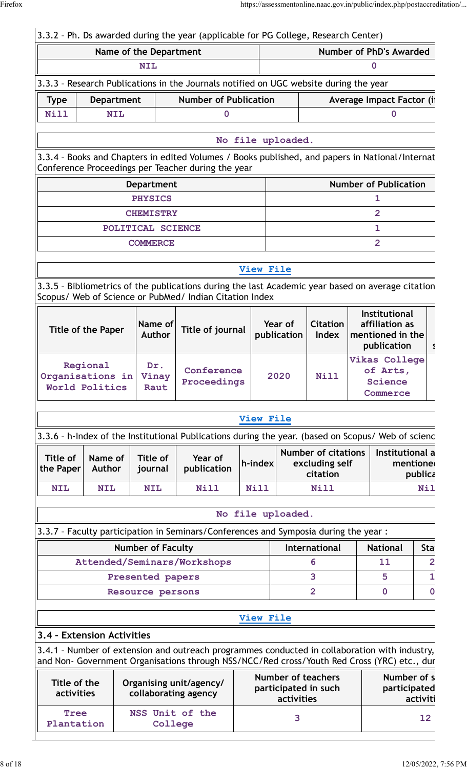#### 3.3.2 – Ph. Ds awarded during the year (applicable for PG College, Research Center) **Name of the Department Number of PhD's Awarded NIL 0** 3.3.3 – Research Publications in the Journals notified on UGC website during the year **Type | Department | Number of Publication | Average Impact Factor (if Nill NIL 0 0 No file uploaded.** 3.3.4 - Books and Chapters in edited Volumes / Books published, and papers in National/Internat Conference Proceedings per Teacher during the year **Department Number of Publication PHYSICS 1 CHEMISTRY 2 POLITICAL SCIENCE 1 COMMERCE 2 [View File](https://assessmentonline.naac.gov.in/public/Postacc/Books_and_Chapters/21029_Books_and_Chapters_1652098643.xlsx)** 3.3.5 - Bibliometrics of the publications during the last Academic year based on average citation Scopus/ Web of Science or PubMed/ Indian Citation Index **Title of the Paper Name of Author Title of journal Year of publication Citation Index Institutional affiliation as mentioned in the publication** | s **Regional Organisations in World Politics Dr. Vinay Raut Conference Proceedings 2020 Nill Vikas College of Arts, Science Commerce [View File](https://assessmentonline.naac.gov.in/public/Postacc/Bibliometrics/21029_Bibliometrics_1652098697.xlsx)** 3.3.6 - h-Index of the Institutional Publications during the year. (based on Scopus/ Web of scienc **Title of the Paper Name of Author Title of journal Year of publication h-index Number of citations excluding self citation Institutional a mentioned publica NIL NIL NIL Nill Nill Nill Nill No file uploaded.** 3.3.7 – Faculty participation in Seminars/Conferences and Symposia during the year : **Number of Faculty International | National | State Attended/Seminars/Workshops 6 11 2 Presented papers 3 5 1** Resource persons **2 0 0 0 [View File](https://assessmentonline.naac.gov.in/public/Postacc/Faculty_participation/21029_Faculty_participation_1652098993.xlsx) 3.4 – Extension Activities** 3.4.1 - Number of extension and outreach programmes conducted in collaboration with industry, and Non- Government Organisations through NSS/NCC/Red cross/Youth Red Cross (YRC) etc., during **Title of the activities Organising unit/agency/ collaborating agency Number of teachers participated in such activities Number of s participated activiti Tree Plantation NSS Unit of the College <sup>3</sup> <sup>12</sup>**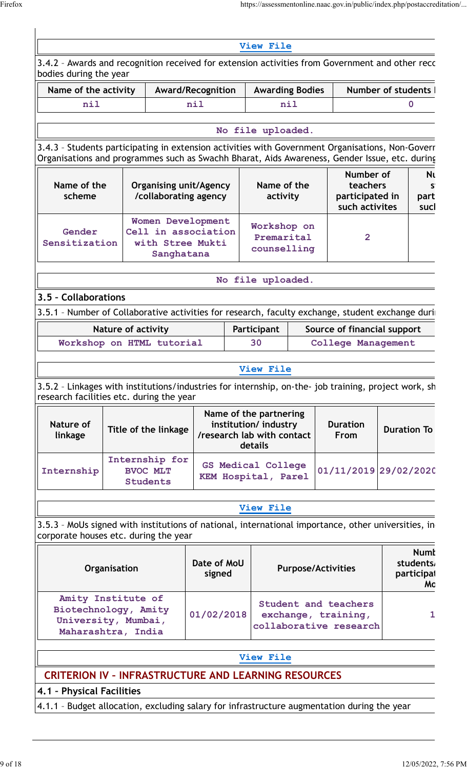| bodies during the year                                                                  |                           |                                                                            |                                                                                     |                                                                                                                                                                                      |                                          |                         | 3.4.2 - Awards and recognition received for extension activities from Government and other recc                                                                                                   |  |                                              |
|-----------------------------------------------------------------------------------------|---------------------------|----------------------------------------------------------------------------|-------------------------------------------------------------------------------------|--------------------------------------------------------------------------------------------------------------------------------------------------------------------------------------|------------------------------------------|-------------------------|---------------------------------------------------------------------------------------------------------------------------------------------------------------------------------------------------|--|----------------------------------------------|
| Name of the activity                                                                    |                           | Award/Recognition                                                          |                                                                                     |                                                                                                                                                                                      | <b>Awarding Bodies</b>                   |                         | Number of students                                                                                                                                                                                |  |                                              |
| nil                                                                                     |                           |                                                                            | nil                                                                                 |                                                                                                                                                                                      |                                          | nil                     |                                                                                                                                                                                                   |  | 0                                            |
|                                                                                         |                           |                                                                            |                                                                                     |                                                                                                                                                                                      | No file uploaded.                        |                         |                                                                                                                                                                                                   |  |                                              |
|                                                                                         |                           |                                                                            |                                                                                     |                                                                                                                                                                                      |                                          |                         | 3.4.3 - Students participating in extension activities with Government Organisations, Non-Goverr<br>Organisations and programmes such as Swachh Bharat, Aids Awareness, Gender Issue, etc. during |  |                                              |
| Name of the<br>scheme                                                                   |                           | <b>Organising unit/Agency</b><br>/collaborating agency                     |                                                                                     |                                                                                                                                                                                      | Name of the<br>activity                  |                         | Number of<br>teachers<br>participated in<br>such activites                                                                                                                                        |  | Nι<br>s<br>part<br>sucl                      |
| Gender<br>Sensitization                                                                 |                           | Women Development<br>Cell in association<br>with Stree Mukti<br>Sanghatana |                                                                                     |                                                                                                                                                                                      | Workshop on<br>Premarital<br>counselling |                         | $\overline{2}$                                                                                                                                                                                    |  |                                              |
|                                                                                         |                           |                                                                            |                                                                                     |                                                                                                                                                                                      | No file uploaded.                        |                         |                                                                                                                                                                                                   |  |                                              |
| 3.5 - Collaborations                                                                    |                           |                                                                            |                                                                                     |                                                                                                                                                                                      |                                          |                         |                                                                                                                                                                                                   |  |                                              |
|                                                                                         |                           |                                                                            |                                                                                     |                                                                                                                                                                                      |                                          |                         | 3.5.1 - Number of Collaborative activities for research, faculty exchange, student exchange duri                                                                                                  |  |                                              |
|                                                                                         | <b>Nature of activity</b> |                                                                            |                                                                                     |                                                                                                                                                                                      | Participant                              |                         | Source of financial support                                                                                                                                                                       |  |                                              |
|                                                                                         |                           | Workshop on HTML tutorial                                                  |                                                                                     |                                                                                                                                                                                      | 30                                       |                         | <b>College Management</b>                                                                                                                                                                         |  |                                              |
|                                                                                         |                           |                                                                            |                                                                                     |                                                                                                                                                                                      | <b>View File</b>                         |                         |                                                                                                                                                                                                   |  |                                              |
| research facilities etc. during the year<br>Nature of<br>linkage                        |                           | Title of the linkage                                                       |                                                                                     | 3.5.2 - Linkages with institutions/industries for internship, on-the- job training, project work, sh<br>Name of the partnering<br>institution/industry<br>/research lab with contact |                                          | <b>Duration</b><br>From | <b>Duration To</b>                                                                                                                                                                                |  |                                              |
| Internship                                                                              |                           | Internship for<br><b>BVOC MLT</b><br><b>Students</b>                       |                                                                                     | details<br><b>GS Medical College</b><br>KEM Hospital, Parel                                                                                                                          |                                          | 01/11/2019 29/02/2020   |                                                                                                                                                                                                   |  |                                              |
|                                                                                         |                           |                                                                            |                                                                                     |                                                                                                                                                                                      | View File                                |                         |                                                                                                                                                                                                   |  |                                              |
| corporate houses etc. during the year                                                   |                           |                                                                            |                                                                                     |                                                                                                                                                                                      |                                          |                         | 3.5.3 - MoUs signed with institutions of national, international importance, other universities, in                                                                                               |  |                                              |
| Organisation                                                                            |                           |                                                                            | Date of MoU<br>signed                                                               |                                                                                                                                                                                      |                                          |                         | <b>Purpose/Activities</b>                                                                                                                                                                         |  | <b>Numl</b><br>students,<br>participal<br>Mc |
| Amity Institute of<br>Biotechnology, Amity<br>University, Mumbai,<br>Maharashtra, India |                           |                                                                            | Student and teachers<br>01/02/2018<br>exchange, training,<br>collaborative research |                                                                                                                                                                                      |                                          | 1                       |                                                                                                                                                                                                   |  |                                              |
|                                                                                         |                           |                                                                            |                                                                                     |                                                                                                                                                                                      | View File                                |                         |                                                                                                                                                                                                   |  |                                              |
| <b>CRITERION IV - INFRASTRUCTURE AND LEARNING RESOURCES</b>                             |                           |                                                                            |                                                                                     |                                                                                                                                                                                      |                                          |                         |                                                                                                                                                                                                   |  |                                              |
| 4.1 - Physical Facilities                                                               |                           |                                                                            |                                                                                     |                                                                                                                                                                                      |                                          |                         |                                                                                                                                                                                                   |  |                                              |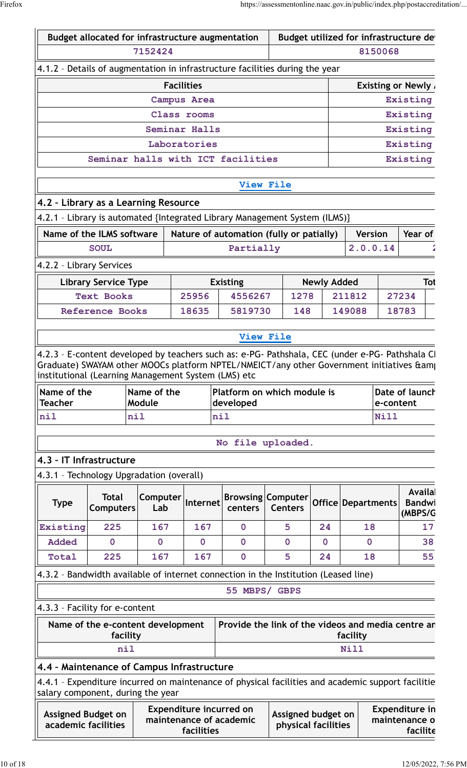|                                                                                 | Budget allocated for infrastructure augmentation |                        |                    |                                                                                                   | Budget utilized for infrastructure de      |                    |                      |             |                                    |     |
|---------------------------------------------------------------------------------|--------------------------------------------------|------------------------|--------------------|---------------------------------------------------------------------------------------------------|--------------------------------------------|--------------------|----------------------|-------------|------------------------------------|-----|
| 7152424                                                                         |                                                  |                        |                    |                                                                                                   |                                            |                    |                      | 8150068     |                                    |     |
|                                                                                 |                                                  |                        |                    | 4.1.2 - Details of augmentation in infrastructure facilities during the year                      |                                            |                    |                      |             |                                    |     |
|                                                                                 |                                                  |                        | <b>Facilities</b>  |                                                                                                   |                                            |                    |                      |             | <b>Existing or Newly.</b>          |     |
|                                                                                 |                                                  |                        | <b>Campus Area</b> |                                                                                                   |                                            |                    |                      |             | Existing                           |     |
|                                                                                 |                                                  |                        | Class rooms        |                                                                                                   |                                            |                    |                      |             | Existing                           |     |
|                                                                                 |                                                  |                        | Seminar Halls      |                                                                                                   |                                            |                    |                      |             | Existing                           |     |
|                                                                                 |                                                  |                        | Laboratories       |                                                                                                   |                                            |                    |                      |             | Existing                           |     |
|                                                                                 |                                                  |                        |                    | Seminar halls with ICT facilities                                                                 |                                            |                    |                      |             | Existing                           |     |
|                                                                                 |                                                  |                        |                    |                                                                                                   | View File                                  |                    |                      |             |                                    |     |
| 4.2 - Library as a Learning Resource                                            |                                                  |                        |                    |                                                                                                   |                                            |                    |                      |             |                                    |     |
|                                                                                 |                                                  |                        |                    | 4.2.1 - Library is automated {Integrated Library Management System (ILMS)}                        |                                            |                    |                      |             |                                    |     |
| Name of the ILMS software                                                       |                                                  |                        |                    | Nature of automation (fully or patially)                                                          |                                            |                    | <b>Version</b>       |             | Year of                            |     |
|                                                                                 | <b>SOUL</b>                                      |                        |                    | Partially                                                                                         |                                            |                    | 2.0.0.14             |             |                                    |     |
| 4.2.2 - Library Services                                                        |                                                  |                        |                    |                                                                                                   |                                            |                    |                      |             |                                    |     |
|                                                                                 | <b>Library Service Type</b>                      |                        |                    | <b>Existing</b>                                                                                   |                                            | <b>Newly Added</b> |                      |             |                                    | Tot |
|                                                                                 | <b>Text Books</b>                                |                        | 25956              | 4556267                                                                                           | 1278                                       |                    | 211812               |             | 27234                              |     |
|                                                                                 | <b>Reference Books</b>                           |                        | 18635              | 5819730                                                                                           | 148                                        |                    | 149088               |             | 18783                              |     |
|                                                                                 |                                                  |                        |                    |                                                                                                   |                                            |                    |                      |             |                                    |     |
|                                                                                 |                                                  |                        |                    |                                                                                                   | <b>View File</b>                           |                    |                      |             |                                    |     |
|                                                                                 |                                                  |                        |                    |                                                                                                   |                                            |                    |                      |             |                                    |     |
|                                                                                 |                                                  |                        |                    | 4.2.3 - E-content developed by teachers such as: e-PG- Pathshala, CEC (under e-PG- Pathshala CI   |                                            |                    |                      |             |                                    |     |
|                                                                                 |                                                  |                        |                    | Graduate) SWAYAM other MOOCs platform NPTEL/NMEICT/any other Government initiatives & am          |                                            |                    |                      |             |                                    |     |
| Name of the                                                                     |                                                  | Name of the            |                    | Platform on which module is                                                                       |                                            |                    |                      |             | Date of launch                     |     |
| <b>Teacher</b>                                                                  |                                                  | Module                 |                    | developed                                                                                         |                                            |                    |                      | e-content   |                                    |     |
| nil                                                                             |                                                  | nil                    |                    | nil                                                                                               |                                            |                    |                      | <b>Nill</b> |                                    |     |
| institutional (Learning Management System (LMS) etc                             |                                                  |                        |                    | No file uploaded.                                                                                 |                                            |                    |                      |             |                                    |     |
| 4.3 - IT Infrastructure                                                         |                                                  |                        |                    |                                                                                                   |                                            |                    |                      |             |                                    |     |
|                                                                                 |                                                  |                        |                    |                                                                                                   |                                            |                    |                      |             |                                    |     |
| 4.3.1 - Technology Upgradation (overall)<br><b>Type</b>                         | <b>Total</b><br><b>Computers</b>                 | <b>Computer</b><br>Lab | Internet           | centers                                                                                           | <b>Browsing Computer</b><br><b>Centers</b> |                    | Office   Departments |             | Availa<br><b>Bandwi</b><br>(MBPS/G |     |
| Existing                                                                        | 225                                              | 167                    | 167                | $\mathbf 0$                                                                                       | 5                                          | 24                 | 18                   |             |                                    | 17  |
| <b>Added</b>                                                                    | $\mathbf 0$                                      | $\mathbf 0$            | $\mathbf 0$        | $\mathbf 0$                                                                                       | $\mathbf 0$                                | $\mathbf 0$        | $\mathbf 0$          |             |                                    | 38  |
| Total                                                                           | 225                                              | 167                    | 167                | $\overline{0}$                                                                                    | 5                                          | 24                 | 18                   |             |                                    | 55  |
|                                                                                 |                                                  |                        |                    | 4.3.2 - Bandwidth available of internet connection in the Institution (Leased line)               |                                            |                    |                      |             |                                    |     |
|                                                                                 |                                                  |                        |                    | 55 MBPS/ GBPS                                                                                     |                                            |                    |                      |             |                                    |     |
|                                                                                 |                                                  |                        |                    |                                                                                                   |                                            |                    |                      |             |                                    |     |
| 4.3.3 - Facility for e-content                                                  | Name of the e-content development                |                        |                    | Provide the link of the videos and media centre ar                                                |                                            |                    |                      |             |                                    |     |
|                                                                                 | facility                                         |                        |                    |                                                                                                   |                                            |                    | facility             |             |                                    |     |
|                                                                                 | nil                                              |                        |                    |                                                                                                   |                                            |                    | <b>Nill</b>          |             |                                    |     |
| 4.4 - Maintenance of Campus Infrastructure<br>salary component, during the year |                                                  |                        |                    | 4.4.1 - Expenditure incurred on maintenance of physical facilities and academic support facilitie |                                            |                    |                      |             |                                    |     |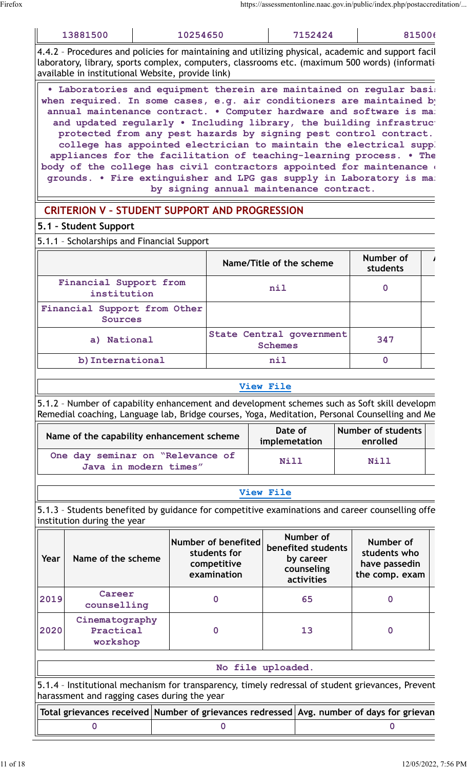| 13881500                                                                                                                                                                                                                                                                                                                                                                                                                                   | 10254650 | 7152424                                                                                                                                                                                                                                                   | 81500(                |  |
|--------------------------------------------------------------------------------------------------------------------------------------------------------------------------------------------------------------------------------------------------------------------------------------------------------------------------------------------------------------------------------------------------------------------------------------------|----------|-----------------------------------------------------------------------------------------------------------------------------------------------------------------------------------------------------------------------------------------------------------|-----------------------|--|
| 4.4.2 - Procedures and policies for maintaining and utilizing physical, academic and support facil<br>laboratory, library, sports complex, computers, classrooms etc. (maximum 500 words) (informati<br>available in institutional Website, provide link)                                                                                                                                                                                  |          |                                                                                                                                                                                                                                                           |                       |  |
| . Laboratories and equipment therein are maintained on regular basi<br>when required. In some cases, e.g. air conditioners are maintained by<br>annual maintenance contract. . Computer hardware and software is ma.<br>appliances for the facilitation of teaching-learning process. . The<br>body of the college has civil contractors appointed for maintenance<br>grounds. . Fire extinguisher and LPG gas supply in Laboratory is ma: |          | and updated regularly . Including library, the building infrastruct<br>protected from any pest hazards by signing pest control contract.<br>college has appointed electrician to maintain the electrical supp.<br>by signing annual maintenance contract. |                       |  |
| <b>CRITERION V - STUDENT SUPPORT AND PROGRESSION</b>                                                                                                                                                                                                                                                                                                                                                                                       |          |                                                                                                                                                                                                                                                           |                       |  |
| 5.1 - Student Support                                                                                                                                                                                                                                                                                                                                                                                                                      |          |                                                                                                                                                                                                                                                           |                       |  |
| 5.1.1 - Scholarships and Financial Support                                                                                                                                                                                                                                                                                                                                                                                                 |          |                                                                                                                                                                                                                                                           |                       |  |
|                                                                                                                                                                                                                                                                                                                                                                                                                                            |          | Name/Title of the scheme                                                                                                                                                                                                                                  | Number of<br>students |  |
| Financial Support from<br>institution                                                                                                                                                                                                                                                                                                                                                                                                      |          | nil                                                                                                                                                                                                                                                       | $\mathbf 0$           |  |
| Financial Support from Other<br>Sources                                                                                                                                                                                                                                                                                                                                                                                                    |          |                                                                                                                                                                                                                                                           |                       |  |

|                                                | Name/Title of the scheme                   | Number of<br>students |  |
|------------------------------------------------|--------------------------------------------|-----------------------|--|
| Financial Support from<br>institution          | nil                                        |                       |  |
| Financial Support from Other<br><b>Sources</b> |                                            |                       |  |
| a) National                                    | State Central government<br><b>Schemes</b> | 347                   |  |
| b) International                               | nil                                        |                       |  |

#### **[View File](https://assessmentonline.naac.gov.in/public/Postacc/Scholarships/21029_Scholarships_1652102609.xlsx)**

5.1.2 - Number of capability enhancement and development schemes such as Soft skill developm Remedial coaching, Language lab, Bridge courses, Yoga, Meditation, Personal Counselling and Me

| Name of the capability enhancement scheme                 | Date of<br>implemetation | Number of students<br>enrolled |  |
|-----------------------------------------------------------|--------------------------|--------------------------------|--|
| One day seminar on "Relevance of<br>Java in modern times" | <b>Nill</b>              | Nill                           |  |

#### **[View File](https://assessmentonline.naac.gov.in/public/Postacc/Development_Schemes/21029_Development_Schemes_1652102828.xlsx)**

5.1.3 - Students benefited by guidance for competitive examinations and career counselling offe institution during the year

| Year | Name of the scheme                      | Number of benefited<br>students for<br>competitive<br>examination | Number of<br>benefited students<br>by career<br>counseling<br>activities | Number of<br>students who<br>have passedin<br>the comp. exam |  |
|------|-----------------------------------------|-------------------------------------------------------------------|--------------------------------------------------------------------------|--------------------------------------------------------------|--|
| 2019 | Career<br>counselling                   |                                                                   | 65                                                                       | 0                                                            |  |
| 2020 | Cinematography<br>Practical<br>workshop |                                                                   | 13                                                                       | 0                                                            |  |
|      |                                         |                                                                   |                                                                          |                                                              |  |

| No file uploaded.                                                                                                                                 |  |
|---------------------------------------------------------------------------------------------------------------------------------------------------|--|
| 5.1.4 - Institutional mechanism for transparency, timely redressal of student grievances, Prevent<br>harassment and ragging cases during the year |  |

|  | Total grievances received Number of grievances redressed Avg. number of days for grievan |
|--|------------------------------------------------------------------------------------------|
|  |                                                                                          |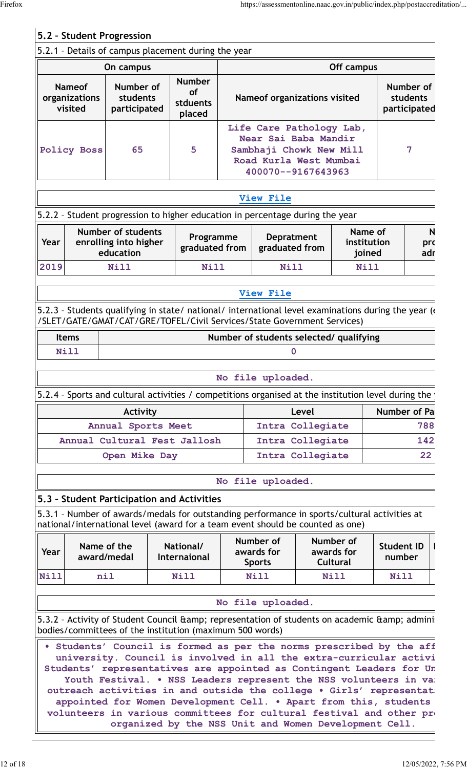|              |                                           | 5.2 - Student Progression                                                                                                                                                                                                                                                               |                                                                      |                                                                                                                             |                                          |       |                                            |                                       |                 |  |
|--------------|-------------------------------------------|-----------------------------------------------------------------------------------------------------------------------------------------------------------------------------------------------------------------------------------------------------------------------------------------|----------------------------------------------------------------------|-----------------------------------------------------------------------------------------------------------------------------|------------------------------------------|-------|--------------------------------------------|---------------------------------------|-----------------|--|
|              |                                           | 5.2.1 - Details of campus placement during the year                                                                                                                                                                                                                                     |                                                                      |                                                                                                                             |                                          |       |                                            |                                       |                 |  |
| On campus    |                                           |                                                                                                                                                                                                                                                                                         |                                                                      |                                                                                                                             | Off campus                               |       |                                            |                                       |                 |  |
|              | <b>Nameof</b><br>organizations<br>visited | Number of<br>students<br>participated                                                                                                                                                                                                                                                   | <b>Number</b><br><b>of</b><br>stduents<br>placed                     |                                                                                                                             | Nameof organizations visited             |       |                                            | Number of<br>students<br>participated |                 |  |
|              | 65<br>5<br><b>Policy Boss</b>             |                                                                                                                                                                                                                                                                                         |                                                                      | Life Care Pathology Lab,<br>Near Sai Baba Mandir<br>Sambhaji Chowk New Mill<br>Road Kurla West Mumbai<br>400070--9167643963 |                                          |       | 7                                          |                                       |                 |  |
|              |                                           |                                                                                                                                                                                                                                                                                         |                                                                      |                                                                                                                             | View File                                |       |                                            |                                       |                 |  |
|              |                                           | 5.2.2 - Student progression to higher education in percentage during the year                                                                                                                                                                                                           |                                                                      |                                                                                                                             |                                          |       |                                            |                                       |                 |  |
| Year         |                                           | <b>Number of students</b><br>enrolling into higher<br>education                                                                                                                                                                                                                         | Programme<br>graduated from                                          |                                                                                                                             | <b>Depratment</b><br>graduated from      |       | Name of<br>institution<br>joined           |                                       | N<br>pro<br>adr |  |
| 2019         |                                           | <b>Nill</b>                                                                                                                                                                                                                                                                             | Nill                                                                 |                                                                                                                             | Nill                                     |       | Nill                                       |                                       |                 |  |
|              |                                           |                                                                                                                                                                                                                                                                                         |                                                                      |                                                                                                                             | View File                                |       |                                            |                                       |                 |  |
|              |                                           | 5.2.3 - Students qualifying in state/ national/ international level examinations during the year (<br>/SLET/GATE/GMAT/CAT/GRE/TOFEL/Civil Services/State Government Services)                                                                                                           |                                                                      |                                                                                                                             |                                          |       |                                            |                                       |                 |  |
| <b>Items</b> |                                           |                                                                                                                                                                                                                                                                                         |                                                                      |                                                                                                                             | Number of students selected/ qualifying  |       |                                            |                                       |                 |  |
| <b>Nill</b>  |                                           |                                                                                                                                                                                                                                                                                         |                                                                      |                                                                                                                             |                                          | 0     |                                            |                                       |                 |  |
|              |                                           |                                                                                                                                                                                                                                                                                         |                                                                      |                                                                                                                             | No file uploaded.                        |       |                                            |                                       |                 |  |
|              |                                           | 5.2.4 - Sports and cultural activities / competitions organised at the institution level during the                                                                                                                                                                                     |                                                                      |                                                                                                                             |                                          |       |                                            |                                       |                 |  |
|              |                                           | Activity                                                                                                                                                                                                                                                                                |                                                                      |                                                                                                                             |                                          | Level |                                            | Number of Pa                          |                 |  |
|              |                                           | Annual Sports Meet                                                                                                                                                                                                                                                                      |                                                                      |                                                                                                                             | Intra Collegiate                         |       |                                            |                                       | 788             |  |
|              |                                           | Annual Cultural Fest Jallosh                                                                                                                                                                                                                                                            |                                                                      | 142<br>Intra Collegiate                                                                                                     |                                          |       |                                            |                                       |                 |  |
|              |                                           | Open Mike Day                                                                                                                                                                                                                                                                           |                                                                      |                                                                                                                             | Intra Collegiate                         |       |                                            |                                       | 22 <sub>2</sub> |  |
|              |                                           |                                                                                                                                                                                                                                                                                         |                                                                      |                                                                                                                             | No file uploaded.                        |       |                                            |                                       |                 |  |
|              |                                           | 5.3 - Student Participation and Activities                                                                                                                                                                                                                                              |                                                                      |                                                                                                                             |                                          |       |                                            |                                       |                 |  |
|              |                                           | 5.3.1 - Number of awards/medals for outstanding performance in sports/cultural activities at<br>national/international level (award for a team event should be counted as one)                                                                                                          |                                                                      |                                                                                                                             |                                          |       |                                            |                                       |                 |  |
| Year         | Name of the<br>award/medal                |                                                                                                                                                                                                                                                                                         | National/<br><b>Internaional</b>                                     |                                                                                                                             | Number of<br>awards for<br><b>Sports</b> |       | Number of<br>awards for<br><b>Cultural</b> | <b>Student ID</b><br>number           |                 |  |
| Nill         | nil                                       |                                                                                                                                                                                                                                                                                         | <b>Nill</b>                                                          |                                                                                                                             | <b>Nill</b>                              |       | <b>Nill</b>                                | <b>Nill</b>                           |                 |  |
|              |                                           |                                                                                                                                                                                                                                                                                         |                                                                      |                                                                                                                             | No file uploaded.                        |       |                                            |                                       |                 |  |
|              |                                           | 5.3.2 - Activity of Student Council & amp; representation of students on academic & amp; admini:                                                                                                                                                                                        |                                                                      |                                                                                                                             |                                          |       |                                            |                                       |                 |  |
|              |                                           | bodies/committees of the institution (maximum 500 words)                                                                                                                                                                                                                                |                                                                      |                                                                                                                             |                                          |       |                                            |                                       |                 |  |
|              |                                           | . Students' Council is formed as per the norms prescribed by the aff<br>university. Council is involved in all the extra-curricular activi<br>Students' representatives are appointed as Contingent Leaders for Un<br>Youth Festival. . NSS Leaders represent the NSS volunteers in var | outreach activities in and outside the college . Girls' representat: |                                                                                                                             |                                          |       |                                            |                                       |                 |  |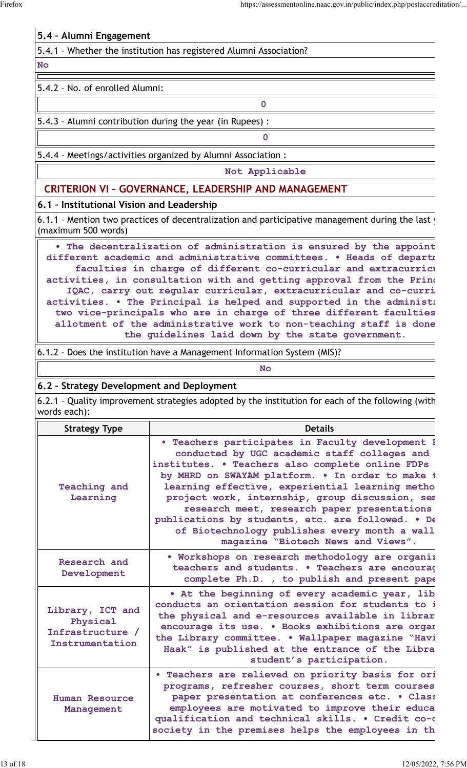## **5.4 – Alumni Engagement**

| 5.4.1 - Whether the institution has registered Alumni Association? |  |
|--------------------------------------------------------------------|--|
|--------------------------------------------------------------------|--|

#### **No**

#### 5.4.2 – No. of enrolled Alumni:

## 5.4.3 – Alumni contribution during the year (in Rupees) :

5.4.4 – Meetings/activities organized by Alumni Association :

**Not Applicable**

**0**

**0**

## **CRITERION VI – GOVERNANCE, LEADERSHIP AND MANAGEMENT**

#### **6.1 – Institutional Vision and Leadership**

6.1.1 - Mention two practices of decentralization and participative management during the last  $y$ (maximum 500 words)

• The decentralization of administration is ensured by the appoint different academic and administrative committees. . Heads of departm **faculties in charge of different co-curricular and extracurricular activities, in consultation with and getting approval from the Principal and IQAC, carry out regular curricular, extracurricular and co-curricular** activities. • The Principal is helped and supported in the administ<sub>1</sub> two vice-principals who are in charge of three different faculties allotment of the administrative work to non-teaching staff is done **the guidelines laid down by the state government.**

6.1.2 – Does the institution have a Management Information System (MIS)?

#### **No**

#### **6.2 – Strategy Development and Deployment**

6.2.1 - Quality improvement strategies adopted by the institution for each of the following (with words each):

| <b>Strategy Type</b>                                                | <b>Details</b>                                                                                                                                                                                                                                                                                                                                                                                                                                                                                            |
|---------------------------------------------------------------------|-----------------------------------------------------------------------------------------------------------------------------------------------------------------------------------------------------------------------------------------------------------------------------------------------------------------------------------------------------------------------------------------------------------------------------------------------------------------------------------------------------------|
| <b>Teaching and</b><br>Learning                                     | . Teachers participates in Faculty development I<br>conducted by UGC academic staff colleges and<br>institutes. . Teachers also complete online FDPs<br>by MHRD on SWAYAM platform. . In order to make t<br>learning effective, experiential learning metho<br>project work, internship, group discussion, sem<br>research meet, research paper presentations<br>publications by students, etc. are followed. . De<br>of Biotechnology publishes every month a wall<br>magazine "Biotech News and Views". |
| Research and<br>Development                                         | . Workshops on research methodology are organiz<br>teachers and students. . Teachers are encourag<br>complete Ph.D., to publish and present pape                                                                                                                                                                                                                                                                                                                                                          |
| Library, ICT and<br>Physical<br>Infrastructure /<br>Instrumentation | . At the beginning of every academic year, lib<br>conducts an orientation session for students to i<br>the physical and e-resources available in librar<br>encourage its use. . Books exhibitions are organ<br>the Library committee. . Wallpaper magazine "Havi<br>Haak" is published at the entrance of the Libra<br>student's participation.                                                                                                                                                           |
| Human Resource<br>Management                                        | . Teachers are relieved on priority basis for ori<br>programs, refresher courses, short term courses<br>paper presentation at conferences etc. . Class<br>employees are motivated to improve their educa<br>qualification and technical skills. . Credit co-o<br>society in the premises helps the employees in th                                                                                                                                                                                        |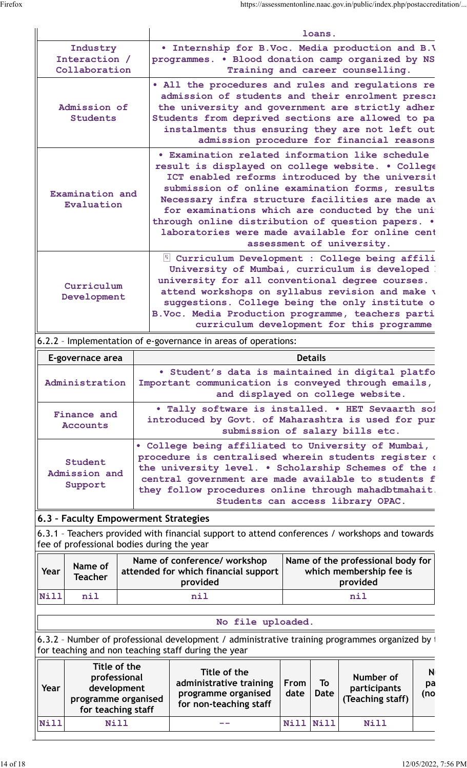|                                            | loans.                                                                                                                                                                                                                                                                                                                                                                                                                                                  |
|--------------------------------------------|---------------------------------------------------------------------------------------------------------------------------------------------------------------------------------------------------------------------------------------------------------------------------------------------------------------------------------------------------------------------------------------------------------------------------------------------------------|
| Industry<br>Interaction /<br>Collaboration | . Internship for B.Voc. Media production and B.V<br>programmes. . Blood donation camp organized by NS<br>Training and career counselling.                                                                                                                                                                                                                                                                                                               |
| Admission of<br><b>Students</b>            | • All the procedures and rules and regulations re<br>admission of students and their enrolment presci<br>the university and government are strictly adher<br>Students from deprived sections are allowed to pa<br>instalments thus ensuring they are not left out<br>admission procedure for financial reasons                                                                                                                                          |
| Examination and<br>Evaluation              | . Examination related information like schedule<br>result is displayed on college website. . College<br>ICT enabled reforms introduced by the universit<br>submission of online examination forms, results<br>Necessary infra structure facilities are made av<br>for examinations which are conducted by the uni<br>through online distribution of question papers. .<br>laboratories were made available for online cent<br>assessment of university. |
| Curriculum<br>Development                  | I Curriculum Development : College being affili<br>University of Mumbai, curriculum is developed<br>university for all conventional degree courses.<br>attend workshops on syllabus revision and make v<br>suggestions. College being the only institute o<br>B.Voc. Media Production programme, teachers parti<br>curriculum development for this programme                                                                                            |

#### 6.2.2 – Implementation of e-governance in areas of operations:

| E-governace area                    | <b>Details</b>                                                                                                                                                                                                                                                                                                          |
|-------------------------------------|-------------------------------------------------------------------------------------------------------------------------------------------------------------------------------------------------------------------------------------------------------------------------------------------------------------------------|
| Administration                      | . Student's data is maintained in digital platfo<br>Important communication is conveyed through emails,<br>and displayed on college website.                                                                                                                                                                            |
| Finance and<br><b>Accounts</b>      | . Tally software is installed. . HET Sevaarth sof<br>introduced by Govt. of Maharashtra is used for pur<br>submission of salary bills etc.                                                                                                                                                                              |
| Student<br>Admission and<br>Support | . College being affiliated to University of Mumbai,<br>procedure is centralised wherein students register a<br>the university level. . Scholarship Schemes of the a<br>central government are made available to students f<br>they follow procedures online through mahadbtmahait.<br>Students can access library OPAC. |

## **6.3 – Faculty Empowerment Strategies**

6.3.1 - Teachers provided with financial support to attend conferences / workshops and towards fee of professional bodies during the year

| Year | Name of<br>Teacher | Name of conference/ workshop<br>attended for which financial support  <br>provided | Name of the professional body for<br>which membership fee is<br>provided |
|------|--------------------|------------------------------------------------------------------------------------|--------------------------------------------------------------------------|
| Nill | nil                | nil                                                                                | nil                                                                      |

#### **No file uploaded.**

6.3.2 - Number of professional development / administrative training programmes organized by the College for teaching and non teaching staff during the year

| Year | Title of the<br>professional<br>development<br>programme organised<br>for teaching staff | Title of the<br>administrative training<br>programme organised<br>for non-teaching staff | <b>From</b><br>date | To<br>Date  | Number of<br>participants<br>(Teaching staff) | N<br>pa<br>(no |  |
|------|------------------------------------------------------------------------------------------|------------------------------------------------------------------------------------------|---------------------|-------------|-----------------------------------------------|----------------|--|
| Nill | <b>Nill</b>                                                                              |                                                                                          | Nill                | <b>Nill</b> | Nill                                          |                |  |

⊥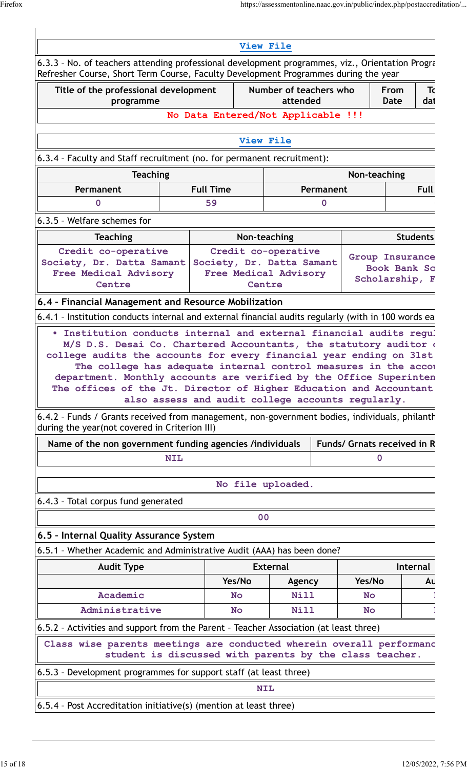| Refresher Course, Short Term Course, Faculty Development Programmes during the year                                                                                                                        |                  |                                                         |                                    |             |           |                                 |                 |
|------------------------------------------------------------------------------------------------------------------------------------------------------------------------------------------------------------|------------------|---------------------------------------------------------|------------------------------------|-------------|-----------|---------------------------------|-----------------|
| Title of the professional development<br>programme                                                                                                                                                         |                  |                                                         | Number of teachers who<br>attended |             |           | From<br>Date                    | Τc<br>dat       |
|                                                                                                                                                                                                            |                  | No Data Entered/Not Applicable !!!                      |                                    |             |           |                                 |                 |
|                                                                                                                                                                                                            |                  |                                                         |                                    |             |           |                                 |                 |
|                                                                                                                                                                                                            |                  |                                                         | View File                          |             |           |                                 |                 |
| 6.3.4 - Faculty and Staff recruitment (no. for permanent recruitment):                                                                                                                                     |                  |                                                         |                                    |             |           |                                 |                 |
| <b>Teaching</b>                                                                                                                                                                                            |                  |                                                         |                                    |             |           | Non-teaching                    |                 |
| Permanent                                                                                                                                                                                                  | <b>Full Time</b> |                                                         |                                    | Permanent   |           |                                 | <b>Full</b>     |
| O                                                                                                                                                                                                          |                  | 59                                                      |                                    | $\mathbf 0$ |           |                                 |                 |
| 6.3.5 - Welfare schemes for                                                                                                                                                                                |                  |                                                         |                                    |             |           |                                 |                 |
| <b>Teaching</b>                                                                                                                                                                                            |                  |                                                         | Non-teaching                       |             |           |                                 | <b>Students</b> |
| Credit co-operative                                                                                                                                                                                        |                  |                                                         | Credit co-operative                |             |           |                                 |                 |
| Society, Dr. Datta Samant                                                                                                                                                                                  |                  | Society, Dr. Datta Samant                               |                                    |             |           | Group Insurance<br>Book Bank Sc |                 |
| Free Medical Advisory<br>Centre                                                                                                                                                                            |                  | <b>Free Medical Advisory</b>                            | Centre                             |             |           | Scholarship, F                  |                 |
| 6.4 - Financial Management and Resource Mobilization                                                                                                                                                       |                  |                                                         |                                    |             |           |                                 |                 |
| 6.4.1 - Institution conducts internal and external financial audits regularly (with in 100 words ea                                                                                                        |                  |                                                         |                                    |             |           |                                 |                 |
|                                                                                                                                                                                                            |                  |                                                         |                                    |             |           |                                 |                 |
| . Institution conducts internal and external financial audits regul                                                                                                                                        |                  |                                                         |                                    |             |           |                                 |                 |
|                                                                                                                                                                                                            |                  |                                                         |                                    |             |           |                                 |                 |
| M/S D.S. Desai Co. Chartered Accountants, the statutory auditor of<br>college audits the accounts for every financial year ending on 31st                                                                  |                  |                                                         |                                    |             |           |                                 |                 |
| The college has adequate internal control measures in the accou                                                                                                                                            |                  |                                                         |                                    |             |           |                                 |                 |
| department. Monthly accounts are verified by the Office Superinten                                                                                                                                         |                  |                                                         |                                    |             |           |                                 |                 |
| The offices of the Jt. Director of Higher Education and Accountant                                                                                                                                         |                  |                                                         |                                    |             |           |                                 |                 |
|                                                                                                                                                                                                            |                  | also assess and audit college accounts regularly.       |                                    |             |           |                                 |                 |
|                                                                                                                                                                                                            |                  |                                                         |                                    |             |           |                                 |                 |
| 6.4.2 - Funds / Grants received from management, non-government bodies, individuals, philanth<br>during the year(not covered in Criterion III)<br>Name of the non government funding agencies /individuals |                  |                                                         |                                    |             |           | Funds/ Grnats received in R     |                 |
|                                                                                                                                                                                                            | <b>NIL</b>       |                                                         |                                    |             |           | 0                               |                 |
|                                                                                                                                                                                                            |                  |                                                         | No file uploaded.                  |             |           |                                 |                 |
| 6.4.3 - Total corpus fund generated                                                                                                                                                                        |                  |                                                         |                                    |             |           |                                 |                 |
|                                                                                                                                                                                                            |                  |                                                         | 0 <sup>0</sup>                     |             |           |                                 |                 |
|                                                                                                                                                                                                            |                  |                                                         |                                    |             |           |                                 |                 |
|                                                                                                                                                                                                            |                  |                                                         |                                    |             |           |                                 |                 |
| 6.5 - Internal Quality Assurance System<br>6.5.1 - Whether Academic and Administrative Audit (AAA) has been done?<br><b>Audit Type</b>                                                                     |                  |                                                         | <b>External</b>                    |             |           |                                 | <b>Internal</b> |
|                                                                                                                                                                                                            |                  | Yes/No                                                  | Agency                             |             | Yes/No    |                                 |                 |
| Academic                                                                                                                                                                                                   |                  | <b>No</b>                                               | Nill                               |             | <b>No</b> |                                 | Αu              |
| Administrative                                                                                                                                                                                             |                  | <b>No</b>                                               | <b>Nill</b>                        |             | <b>No</b> |                                 |                 |
|                                                                                                                                                                                                            |                  |                                                         |                                    |             |           |                                 |                 |
| Class wise parents meetings are conducted wherein overall performand                                                                                                                                       |                  |                                                         |                                    |             |           |                                 |                 |
| 6.5.2 - Activities and support from the Parent - Teacher Association (at least three)                                                                                                                      |                  | student is discussed with parents by the class teacher. |                                    |             |           |                                 |                 |
| 6.5.3 - Development programmes for support staff (at least three)                                                                                                                                          |                  |                                                         | <b>NIL</b>                         |             |           |                                 |                 |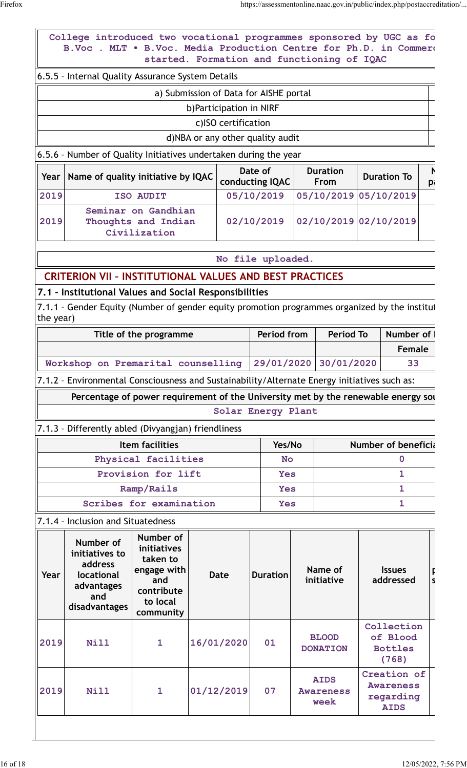|   |                                                   |                                                                                                   |                                 |                            |                                            |                                                                                                   | College introduced two vocational programmes sponsored by UGC as fo<br>B.Voc . MLT . B.Voc. Media Production Centre for Ph.D. in Commero |           |
|---|---------------------------------------------------|---------------------------------------------------------------------------------------------------|---------------------------------|----------------------------|--------------------------------------------|---------------------------------------------------------------------------------------------------|------------------------------------------------------------------------------------------------------------------------------------------|-----------|
|   |                                                   |                                                                                                   |                                 |                            | started. Formation and functioning of IQAC |                                                                                                   |                                                                                                                                          |           |
|   |                                                   |                                                                                                   |                                 |                            |                                            |                                                                                                   | 6.5.5 - Internal Quality Assurance System Details                                                                                        |           |
|   |                                                   |                                                                                                   |                                 |                            | a) Submission of Data for AISHE portal     |                                                                                                   |                                                                                                                                          |           |
|   |                                                   |                                                                                                   |                                 |                            | b)Participation in NIRF                    |                                                                                                   |                                                                                                                                          |           |
|   |                                                   |                                                                                                   |                                 |                            | c)ISO certification                        |                                                                                                   |                                                                                                                                          |           |
|   |                                                   |                                                                                                   |                                 |                            | d)NBA or any other quality audit           |                                                                                                   |                                                                                                                                          |           |
|   |                                                   |                                                                                                   |                                 |                            |                                            |                                                                                                   | 6.5.6 - Number of Quality Initiatives undertaken during the year                                                                         |           |
| p | <b>Duration To</b>                                |                                                                                                   | <b>Duration</b><br><b>From</b>  | Date of<br>conducting IQAC |                                            |                                                                                                   | Name of quality initiative by IQAC                                                                                                       | Year      |
|   |                                                   | 05/10/2019 05/10/2019                                                                             |                                 | 05/10/2019                 |                                            | ISO AUDIT                                                                                         |                                                                                                                                          | 2019      |
|   |                                                   | Seminar on Gandhian<br>02/10/2019 02/10/2019<br>02/10/2019<br>Thoughts and Indian<br>Civilization |                                 |                            |                                            |                                                                                                   |                                                                                                                                          | 2019      |
|   |                                                   |                                                                                                   |                                 | No file uploaded.          |                                            |                                                                                                   |                                                                                                                                          |           |
|   |                                                   |                                                                                                   |                                 |                            |                                            |                                                                                                   | <b>CRITERION VII - INSTITUTIONAL VALUES AND BEST PRACTICES</b>                                                                           |           |
|   |                                                   |                                                                                                   |                                 |                            |                                            |                                                                                                   | 7.1 - Institutional Values and Social Responsibilities                                                                                   |           |
|   |                                                   |                                                                                                   |                                 |                            |                                            |                                                                                                   | 7.1.1 - Gender Equity (Number of gender equity promotion programmes organized by the institut                                            |           |
|   |                                                   |                                                                                                   |                                 |                            |                                            |                                                                                                   |                                                                                                                                          | the year) |
|   | Number of                                         | <b>Period To</b>                                                                                  |                                 | Period from                |                                            | Title of the programme                                                                            |                                                                                                                                          |           |
|   |                                                   |                                                                                                   |                                 |                            |                                            |                                                                                                   |                                                                                                                                          |           |
|   | <b>Female</b>                                     |                                                                                                   |                                 |                            |                                            |                                                                                                   |                                                                                                                                          |           |
|   | 33                                                | 30/01/2020                                                                                        |                                 | 29/01/2020                 |                                            |                                                                                                   | Workshop on Premarital counselling                                                                                                       |           |
|   |                                                   |                                                                                                   |                                 |                            |                                            |                                                                                                   | 7.1.2 - Environmental Consciousness and Sustainability/Alternate Energy initiatives such as:                                             |           |
|   |                                                   |                                                                                                   |                                 |                            |                                            |                                                                                                   | Percentage of power requirement of the University met by the renewable energy sou                                                        |           |
|   |                                                   |                                                                                                   |                                 | Solar Energy Plant         |                                            |                                                                                                   |                                                                                                                                          |           |
|   |                                                   |                                                                                                   |                                 |                            |                                            |                                                                                                   | 7.1.3 - Differently abled (Divyangjan) friendliness                                                                                      |           |
|   | <b>Number of beneficial</b>                       |                                                                                                   |                                 | Yes/No                     |                                            | <b>Item facilities</b>                                                                            |                                                                                                                                          |           |
|   | 0                                                 |                                                                                                   |                                 | <b>No</b>                  |                                            | Physical facilities                                                                               |                                                                                                                                          |           |
|   | $\mathbf{1}$                                      |                                                                                                   |                                 | <b>Yes</b>                 |                                            | Provision for lift                                                                                |                                                                                                                                          |           |
|   | $\mathbf{1}$                                      |                                                                                                   |                                 | <b>Yes</b>                 |                                            | Ramp/Rails                                                                                        |                                                                                                                                          |           |
|   | 1                                                 |                                                                                                   |                                 | <b>Yes</b>                 |                                            | Scribes for examination                                                                           |                                                                                                                                          |           |
|   |                                                   |                                                                                                   |                                 |                            |                                            |                                                                                                   | 7.1.4 - Inclusion and Situatedness                                                                                                       |           |
| S | <b>Issues</b><br>addressed                        |                                                                                                   | Name of<br>initiative           | <b>Duration</b>            | <b>Date</b>                                | Number of<br>initiatives<br>taken to<br>engage with<br>and<br>contribute<br>to local<br>community | Number of<br>initiatives to<br>address<br>locational<br>advantages<br>and<br>disadvantages                                               | Year      |
|   | Collection<br>of Blood<br><b>Bottles</b><br>(768) |                                                                                                   | <b>BLOOD</b><br><b>DONATION</b> | 01                         | 16/01/2020                                 | 1                                                                                                 | Nill                                                                                                                                     | 2019      |

 $\overline{\phantom{a}}$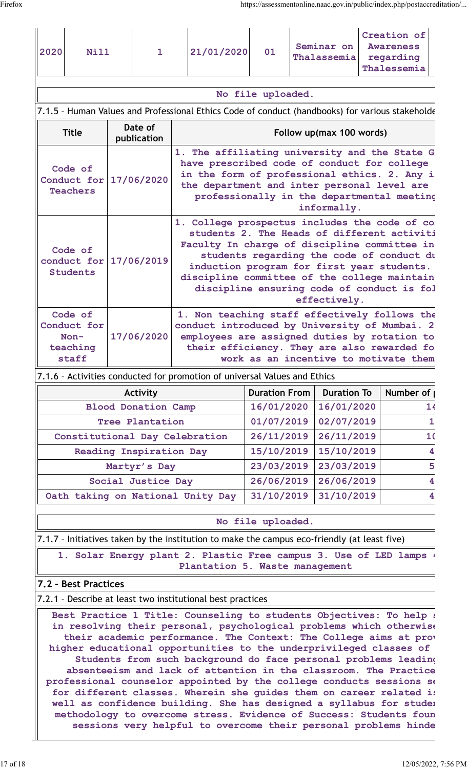| 2020<br>Nill                                          | $\mathbf{1}$           | Creation of<br>Seminar on<br><b>Awareness</b><br>21/01/2020<br>01<br>Thalassemia<br>regarding<br>Thalessemia                                                                                                                                                                                                                                          |  |  |  |  |  |
|-------------------------------------------------------|------------------------|-------------------------------------------------------------------------------------------------------------------------------------------------------------------------------------------------------------------------------------------------------------------------------------------------------------------------------------------------------|--|--|--|--|--|
| No file uploaded.                                     |                        |                                                                                                                                                                                                                                                                                                                                                       |  |  |  |  |  |
|                                                       |                        | 7.1.5 - Human Values and Professional Ethics Code of conduct (handbooks) for various stakeholde                                                                                                                                                                                                                                                       |  |  |  |  |  |
| <b>Title</b>                                          | Date of<br>publication | Follow up(max 100 words)                                                                                                                                                                                                                                                                                                                              |  |  |  |  |  |
| Code of<br>Conduct for<br><b>Teachers</b>             | 17/06/2020             | 1. The affiliating university and the State G<br>have prescribed code of conduct for college<br>in the form of professional ethics. 2. Any i<br>the department and inter personal level are<br>professionally in the departmental meeting<br>informally.                                                                                              |  |  |  |  |  |
| Code of<br>conduct for 17/06/2019<br><b>Students</b>  |                        | 1. College prospectus includes the code of co<br>students 2. The Heads of different activiti<br>Faculty In charge of discipline committee in<br>students regarding the code of conduct du<br>induction program for first year students.<br>discipline committee of the college maintain<br>discipline ensuring code of conduct is fol<br>effectively. |  |  |  |  |  |
| Code of<br>Conduct for<br>$Non-$<br>teaching<br>staff | 17/06/2020             | 1. Non teaching staff effectively follows the<br>conduct introduced by University of Mumbai. 2<br>employees are assigned duties by rotation to<br>their efficiency. They are also rewarded fo<br>work as an incentive to motivate them                                                                                                                |  |  |  |  |  |
|                                                       |                        | $\mathbf{r}$ , $\mathbf{r}$ , $\mathbf{r}$                                                                                                                                                                                                                                                                                                            |  |  |  |  |  |

7.1.6 – Activities conducted for promotion of universal Values and Ethics

| Activity                          | <b>Duration From</b> | <b>Duration To</b> | Number of |
|-----------------------------------|----------------------|--------------------|-----------|
| <b>Blood Donation Camp</b>        | 16/01/2020           | 16/01/2020         | 14        |
| Tree Plantation                   | 01/07/2019           | 02/07/2019         |           |
| Constitutional Day Celebration    | 26/11/2019           | 26/11/2019         | 10        |
| Reading Inspiration Day           | 15/10/2019           | 15/10/2019         | 4         |
| Martyr's Day                      | 23/03/2019           | 23/03/2019         | 5         |
| Social Justice Day                | 26/06/2019           | 26/06/2019         | 4         |
| Oath taking on National Unity Day | 31/10/2019           | 31/10/2019         | 4         |

#### **No file uploaded.**

7.1.7 – Initiatives taken by the institution to make the campus eco-friendly (at least five)

1. Solar Energy plant 2. Plastic Free campus 3. Use of LED lamps  $\cdot$ **Plantation 5. Waste management**

#### **7.2 – Best Practices**

7.2.1 – Describe at least two institutional best practices

Best Practice 1 Title: Counseling to students Objectives: To help a in resolving their personal, psychological problems which otherwise their academic performance. The Context: The College aims at prov higher educational opportunities to the underprivileged classes of **Students from such background do face personal problems leading to** absenteeism and lack of attention in the classroom. The Practice professional counselor appointed by the college conducts sessions se for different classes. Wherein she guides them on career related is well as confidence building. She has designed a syllabus for studen methodology to overcome stress. Evidence of Success: Students foun sessions very helpful to overcome their personal problems hinde